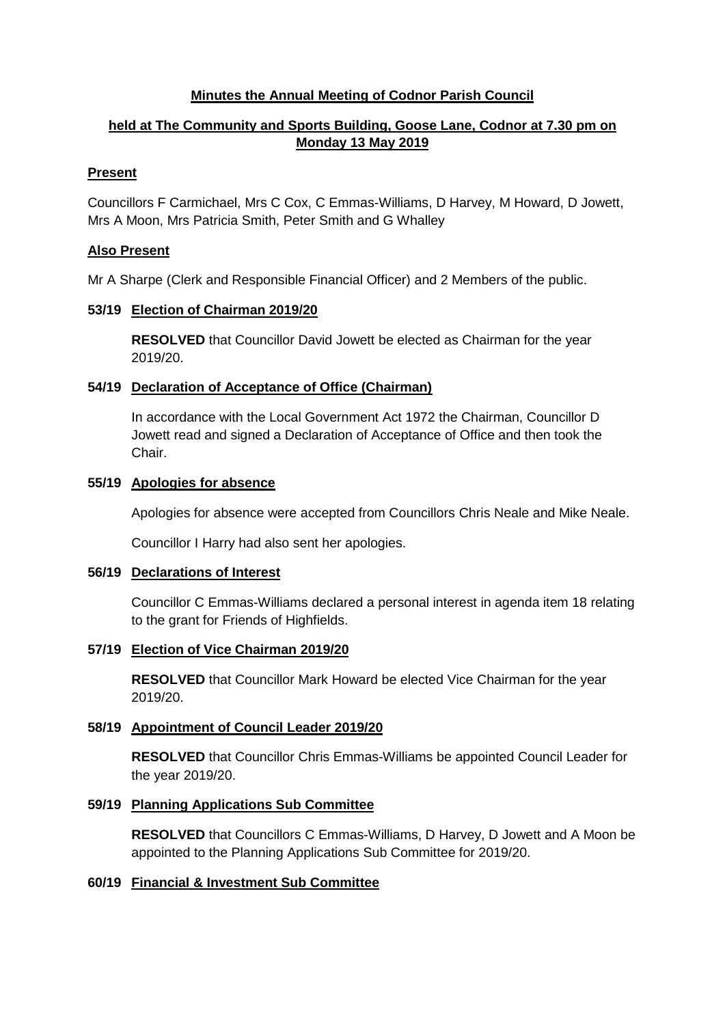### **Minutes the Annual Meeting of Codnor Parish Council**

# **held at The Community and Sports Building, Goose Lane, Codnor at 7.30 pm on Monday 13 May 2019**

## **Present**

Councillors F Carmichael, Mrs C Cox, C Emmas-Williams, D Harvey, M Howard, D Jowett, Mrs A Moon, Mrs Patricia Smith, Peter Smith and G Whalley

## **Also Present**

Mr A Sharpe (Clerk and Responsible Financial Officer) and 2 Members of the public.

## **53/19 Election of Chairman 2019/20**

**RESOLVED** that Councillor David Jowett be elected as Chairman for the year 2019/20.

## **54/19 Declaration of Acceptance of Office (Chairman)**

In accordance with the Local Government Act 1972 the Chairman, Councillor D Jowett read and signed a Declaration of Acceptance of Office and then took the Chair.

#### **55/19 Apologies for absence**

Apologies for absence were accepted from Councillors Chris Neale and Mike Neale.

Councillor I Harry had also sent her apologies.

#### **56/19 Declarations of Interest**

Councillor C Emmas-Williams declared a personal interest in agenda item 18 relating to the grant for Friends of Highfields.

#### **57/19 Election of Vice Chairman 2019/20**

**RESOLVED** that Councillor Mark Howard be elected Vice Chairman for the year 2019/20.

#### **58/19 Appointment of Council Leader 2019/20**

**RESOLVED** that Councillor Chris Emmas-Williams be appointed Council Leader for the year 2019/20.

## **59/19 Planning Applications Sub Committee**

**RESOLVED** that Councillors C Emmas-Williams, D Harvey, D Jowett and A Moon be appointed to the Planning Applications Sub Committee for 2019/20.

## **60/19 Financial & Investment Sub Committee**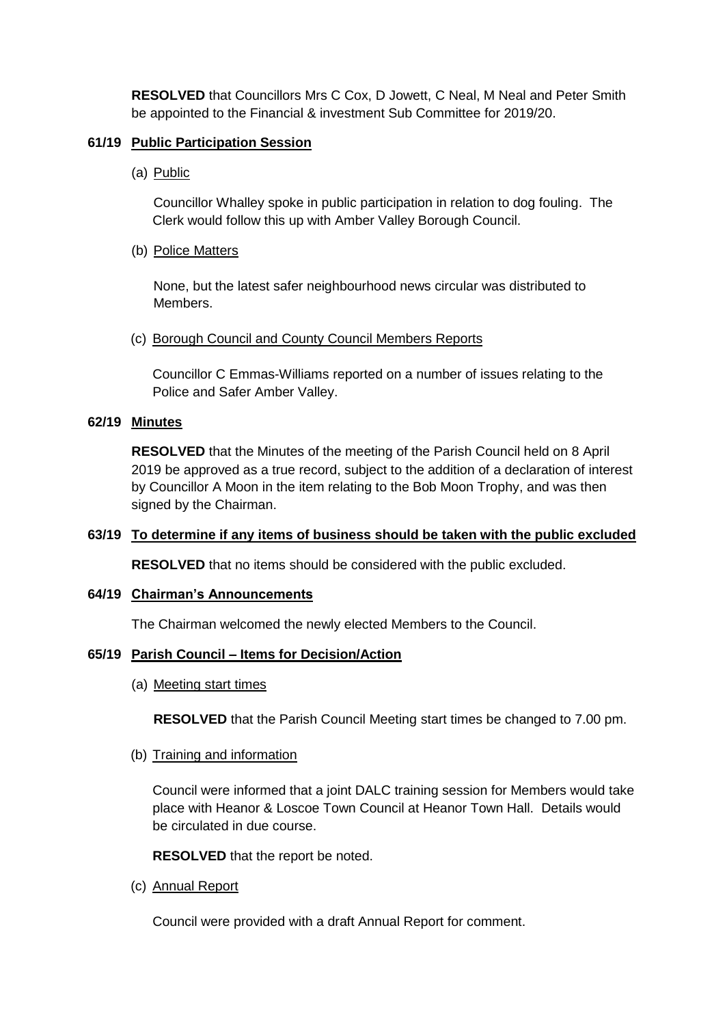**RESOLVED** that Councillors Mrs C Cox, D Jowett, C Neal, M Neal and Peter Smith be appointed to the Financial & investment Sub Committee for 2019/20.

### **61/19 Public Participation Session**

(a) Public

Councillor Whalley spoke in public participation in relation to dog fouling. The Clerk would follow this up with Amber Valley Borough Council.

(b) Police Matters

None, but the latest safer neighbourhood news circular was distributed to Members.

(c) Borough Council and County Council Members Reports

Councillor C Emmas-Williams reported on a number of issues relating to the Police and Safer Amber Valley.

### **62/19 Minutes**

**RESOLVED** that the Minutes of the meeting of the Parish Council held on 8 April 2019 be approved as a true record, subject to the addition of a declaration of interest by Councillor A Moon in the item relating to the Bob Moon Trophy, and was then signed by the Chairman.

#### **63/19 To determine if any items of business should be taken with the public excluded**

**RESOLVED** that no items should be considered with the public excluded.

#### **64/19 Chairman's Announcements**

The Chairman welcomed the newly elected Members to the Council.

#### **65/19 Parish Council – Items for Decision/Action**

(a) Meeting start times

**RESOLVED** that the Parish Council Meeting start times be changed to 7.00 pm.

#### (b) Training and information

Council were informed that a joint DALC training session for Members would take place with Heanor & Loscoe Town Council at Heanor Town Hall. Details would be circulated in due course.

#### **RESOLVED** that the report be noted.

(c) Annual Report

Council were provided with a draft Annual Report for comment.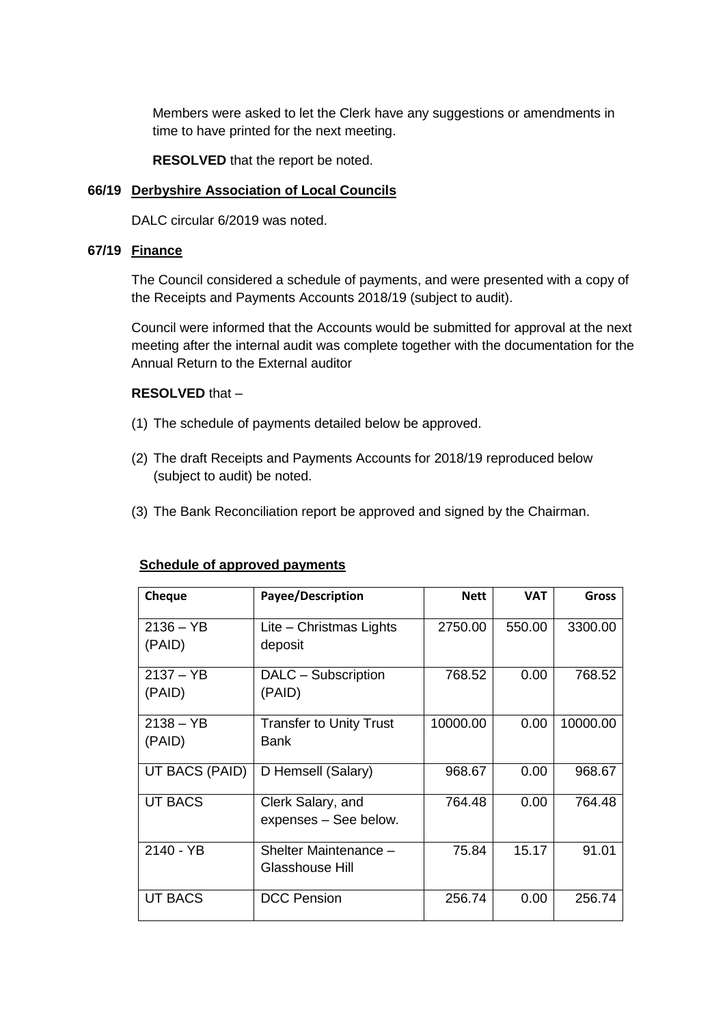Members were asked to let the Clerk have any suggestions or amendments in time to have printed for the next meeting.

**RESOLVED** that the report be noted.

#### **66/19 Derbyshire Association of Local Councils**

DALC circular 6/2019 was noted.

#### **67/19 Finance**

The Council considered a schedule of payments, and were presented with a copy of the Receipts and Payments Accounts 2018/19 (subject to audit).

Council were informed that the Accounts would be submitted for approval at the next meeting after the internal audit was complete together with the documentation for the Annual Return to the External auditor

#### **RESOLVED** that –

- (1) The schedule of payments detailed below be approved.
- (2) The draft Receipts and Payments Accounts for 2018/19 reproduced below (subject to audit) be noted.
- (3) The Bank Reconciliation report be approved and signed by the Chairman.

#### **Schedule of approved payments**

| <b>Cheque</b>         | <b>Payee/Description</b>                   | <b>Nett</b> | <b>VAT</b> | <b>Gross</b> |
|-----------------------|--------------------------------------------|-------------|------------|--------------|
| $2136 - YB$<br>(PAID) | Lite - Christmas Lights<br>deposit         | 2750.00     | 550.00     | 3300.00      |
| $2137 - YB$<br>(PAID) | DALC - Subscription<br>(PAID)              | 768.52      | 0.00       | 768.52       |
| $2138 - YB$<br>(PAID) | <b>Transfer to Unity Trust</b><br>Bank     | 10000.00    | 0.00       | 10000.00     |
| UT BACS (PAID)        | D Hemsell (Salary)                         | 968.67      | 0.00       | 968.67       |
| <b>UT BACS</b>        | Clerk Salary, and<br>expenses - See below. | 764.48      | 0.00       | 764.48       |
| 2140 - YB             | Shelter Maintenance -<br>Glasshouse Hill   | 75.84       | 15.17      | 91.01        |
| <b>UT BACS</b>        | <b>DCC Pension</b>                         | 256.74      | 0.00       | 256.74       |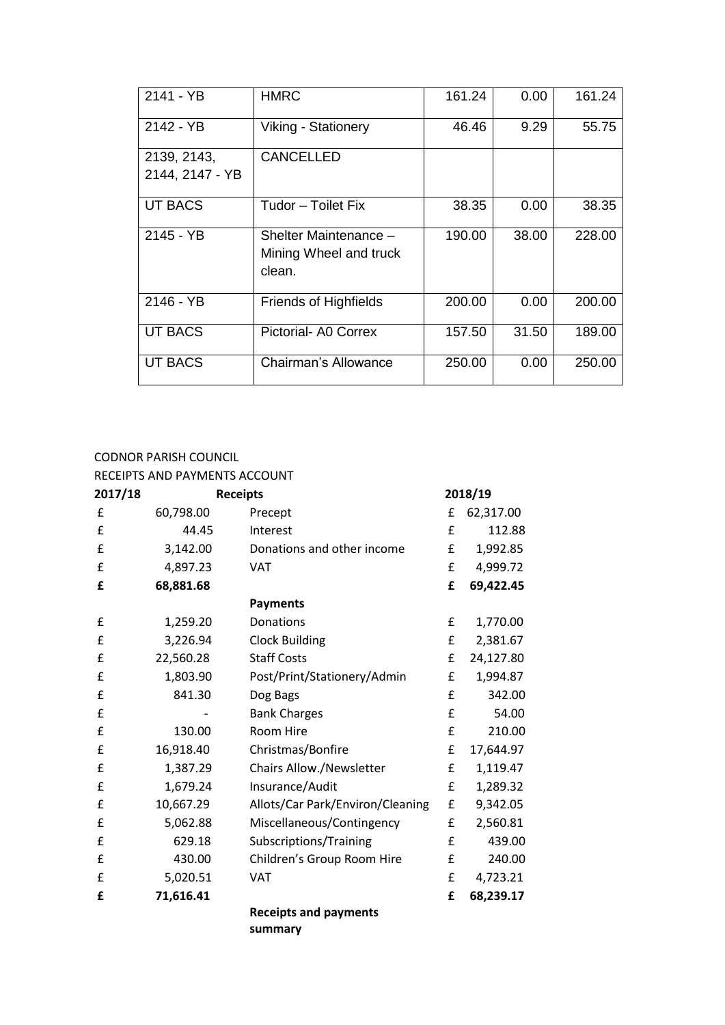| 2141 - YB                      | <b>HMRC</b>                                               | 161.24 | 0.00  | 161.24 |
|--------------------------------|-----------------------------------------------------------|--------|-------|--------|
| 2142 - YB                      | Viking - Stationery                                       | 46.46  | 9.29  | 55.75  |
| 2139, 2143,<br>2144, 2147 - YB | <b>CANCELLED</b>                                          |        |       |        |
| <b>UT BACS</b>                 | Tudor - Toilet Fix                                        | 38.35  | 0.00  | 38.35  |
| 2145 - YB                      | Shelter Maintenance -<br>Mining Wheel and truck<br>clean. | 190.00 | 38.00 | 228.00 |
| 2146 - YB                      | <b>Friends of Highfields</b>                              | 200.00 | 0.00  | 200.00 |
| <b>UT BACS</b>                 | Pictorial- A0 Correx                                      | 157.50 | 31.50 | 189.00 |
| <b>UT BACS</b>                 | <b>Chairman's Allowance</b>                               | 250.00 | 0.00  | 250.00 |

#### CODNOR PARISH COUNCIL

RECEIPTS AND PAYMENTS ACCOUNT

| 2017/18 | <b>Receipts</b> |                                         | 2018/19 |           |
|---------|-----------------|-----------------------------------------|---------|-----------|
| £       | 60,798.00       | Precept                                 | £       | 62,317.00 |
| £       | 44.45           | Interest                                | £       | 112.88    |
| £       | 3,142.00        | Donations and other income              | £       | 1,992.85  |
| £       | 4,897.23        | <b>VAT</b>                              | £       | 4,999.72  |
| £       | 68,881.68       |                                         | £       | 69,422.45 |
|         |                 | <b>Payments</b>                         |         |           |
| £       | 1,259.20        | Donations                               | £       | 1,770.00  |
| £       | 3,226.94        | <b>Clock Building</b>                   | £       | 2,381.67  |
| £       | 22,560.28       | <b>Staff Costs</b>                      | £       | 24,127.80 |
| £       | 1,803.90        | Post/Print/Stationery/Admin             | £       | 1,994.87  |
| £       | 841.30          | Dog Bags                                | £       | 342.00    |
| £       |                 | <b>Bank Charges</b>                     | £       | 54.00     |
| £       | 130.00          | Room Hire                               | £       | 210.00    |
| £       | 16,918.40       | Christmas/Bonfire                       | £       | 17,644.97 |
| £       | 1,387.29        | Chairs Allow./Newsletter                | £       | 1,119.47  |
| £       | 1,679.24        | Insurance/Audit                         | £       | 1,289.32  |
| £       | 10,667.29       | Allots/Car Park/Environ/Cleaning        | £       | 9,342.05  |
| £       | 5,062.88        | Miscellaneous/Contingency               | £       | 2,560.81  |
| £       | 629.18          | Subscriptions/Training                  | £       | 439.00    |
| £       | 430.00          | Children's Group Room Hire              | £       | 240.00    |
| £       | 5,020.51        | <b>VAT</b>                              | £       | 4,723.21  |
| £       | 71,616.41       |                                         | £       | 68,239.17 |
|         |                 | <b>Receipts and payments</b><br>summary |         |           |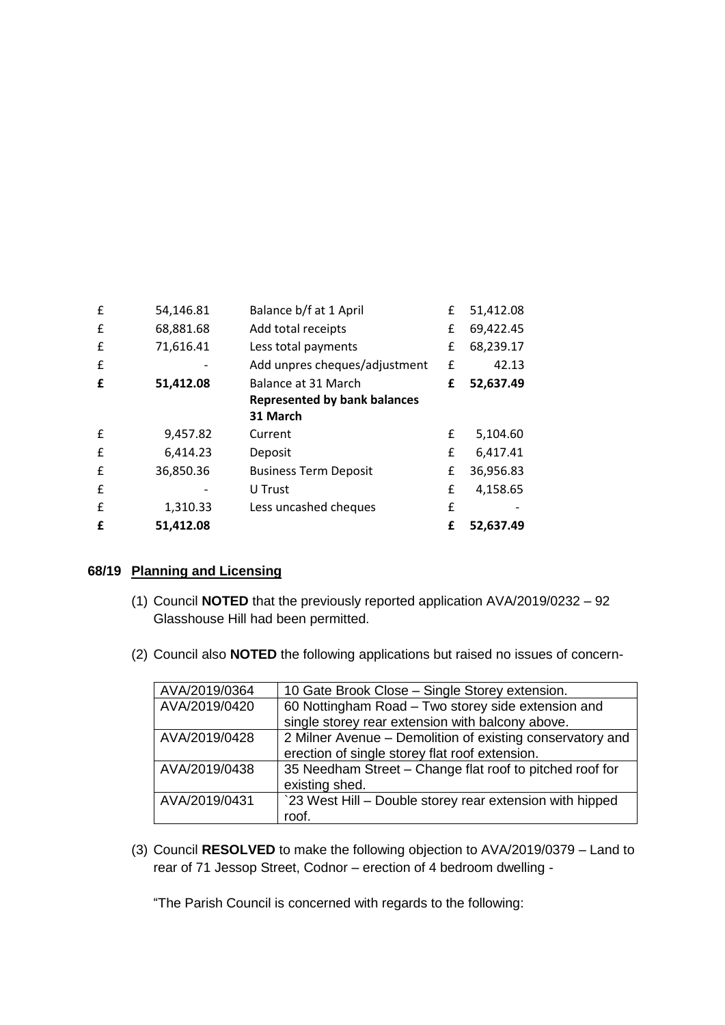| £ | 54,146.81 | Balance b/f at 1 April              | £ | 51,412.08 |
|---|-----------|-------------------------------------|---|-----------|
| £ | 68,881.68 | Add total receipts                  | £ | 69,422.45 |
| £ | 71,616.41 | Less total payments                 | £ | 68,239.17 |
| £ |           | Add unpres cheques/adjustment       | £ | 42.13     |
| £ | 51,412.08 | Balance at 31 March                 | £ | 52,637.49 |
|   |           | <b>Represented by bank balances</b> |   |           |
|   |           | 31 March                            |   |           |
| £ | 9,457.82  | Current                             | £ | 5,104.60  |
| £ | 6,414.23  | Deposit                             | £ | 6,417.41  |
| £ | 36,850.36 | <b>Business Term Deposit</b>        | £ | 36,956.83 |
| £ |           | U Trust                             | £ | 4,158.65  |
| £ | 1,310.33  | Less uncashed cheques               | £ |           |
| f | 51,412.08 |                                     | £ | 52,637.49 |

#### **68/19 Planning and Licensing**

- (1) Council **NOTED** that the previously reported application AVA/2019/0232 92 Glasshouse Hill had been permitted.
- (2) Council also **NOTED** the following applications but raised no issues of concern-

| AVA/2019/0364 | 10 Gate Brook Close - Single Storey extension.            |
|---------------|-----------------------------------------------------------|
| AVA/2019/0420 | 60 Nottingham Road - Two storey side extension and        |
|               | single storey rear extension with balcony above.          |
| AVA/2019/0428 | 2 Milner Avenue – Demolition of existing conservatory and |
|               | erection of single storey flat roof extension.            |
| AVA/2019/0438 | 35 Needham Street - Change flat roof to pitched roof for  |
|               | existing shed.                                            |
| AVA/2019/0431 | `23 West Hill – Double storey rear extension with hipped  |
|               | roof.                                                     |

(3) Council **RESOLVED** to make the following objection to AVA/2019/0379 – Land to rear of 71 Jessop Street, Codnor – erection of 4 bedroom dwelling -

"The Parish Council is concerned with regards to the following: